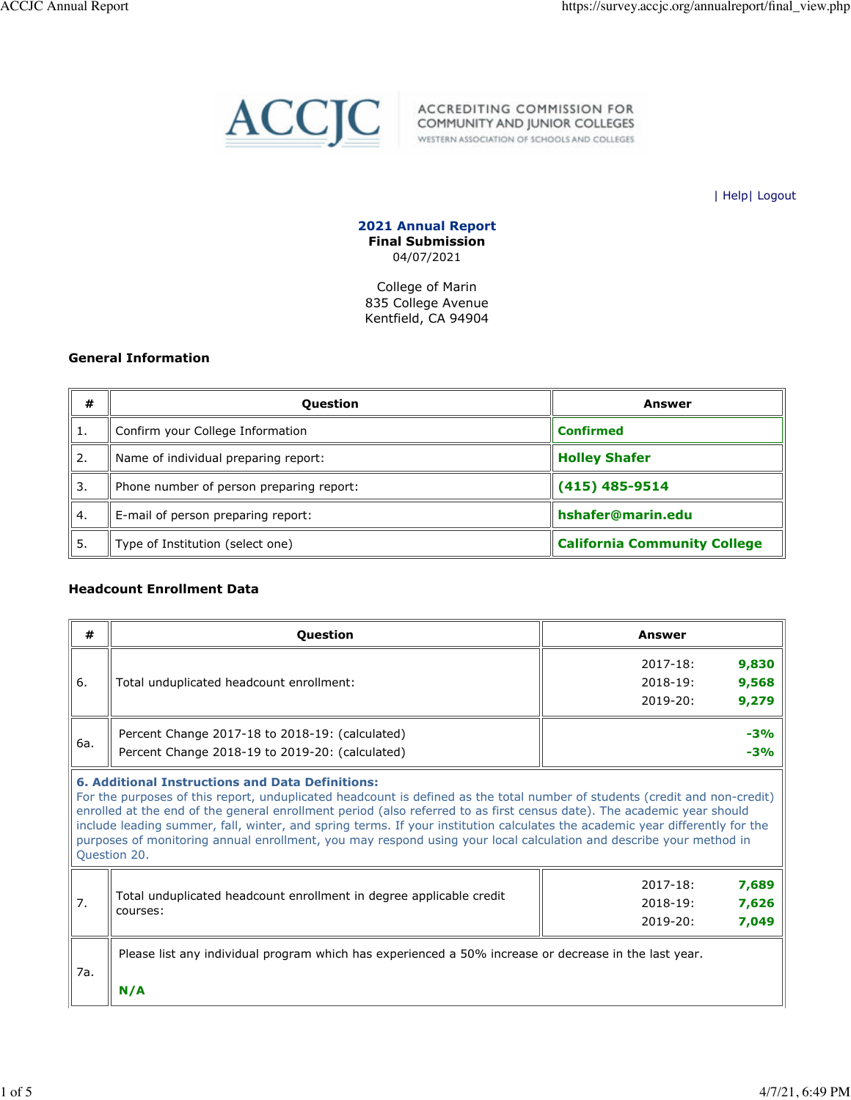

ACCJC ACCREDITING COMMISSION FOR

| Help| Logout

**2021 Annual Report Final Submission** 04/07/2021

College of Marin 835 College Avenue Kentfield, CA 94904

#### **General Information**

| #             | <b>Question</b>                          | Answer                              |
|---------------|------------------------------------------|-------------------------------------|
| ີ 1.          | Confirm your College Information         | <b>Confirmed</b>                    |
| $^{\circ}$ 2. | Name of individual preparing report:     | <b>Holley Shafer</b>                |
| 3.            | Phone number of person preparing report: | $(415)$ 485-9514                    |
| 4.            | E-mail of person preparing report:       | hshafer@marin.edu                   |
| 5.            | Type of Institution (select one)         | <b>California Community College</b> |

## **Headcount Enrollment Data**

| #   | Question                                                                                                                                                                                                                                                                                                                                                                                                                                                                                                                                                                              | <b>Answer</b>                                                           |  |  |  |  |  |  |
|-----|---------------------------------------------------------------------------------------------------------------------------------------------------------------------------------------------------------------------------------------------------------------------------------------------------------------------------------------------------------------------------------------------------------------------------------------------------------------------------------------------------------------------------------------------------------------------------------------|-------------------------------------------------------------------------|--|--|--|--|--|--|
| 6.  | Total unduplicated headcount enrollment:                                                                                                                                                                                                                                                                                                                                                                                                                                                                                                                                              | 9,830<br>$2017 - 18:$<br>9,568<br>$2018 - 19:$<br>9,279<br>$2019 - 20:$ |  |  |  |  |  |  |
| 6a. | Percent Change 2017-18 to 2018-19: (calculated)<br>Percent Change 2018-19 to 2019-20: (calculated)                                                                                                                                                                                                                                                                                                                                                                                                                                                                                    | $-3%$<br>$-3%$                                                          |  |  |  |  |  |  |
|     | <b>6. Additional Instructions and Data Definitions:</b><br>For the purposes of this report, unduplicated headcount is defined as the total number of students (credit and non-credit)<br>enrolled at the end of the general enrollment period (also referred to as first census date). The academic year should<br>include leading summer, fall, winter, and spring terms. If your institution calculates the academic year differently for the<br>purposes of monitoring annual enrollment, you may respond using your local calculation and describe your method in<br>Question 20. |                                                                         |  |  |  |  |  |  |
| 7.  | Total unduplicated headcount enrollment in degree applicable credit<br>courses:                                                                                                                                                                                                                                                                                                                                                                                                                                                                                                       | 7,689<br>$2017 - 18:$<br>$2018 - 19:$<br>7,626<br>7,049<br>$2019 - 20:$ |  |  |  |  |  |  |
| 7a. | Please list any individual program which has experienced a 50% increase or decrease in the last year.<br>N/A                                                                                                                                                                                                                                                                                                                                                                                                                                                                          |                                                                         |  |  |  |  |  |  |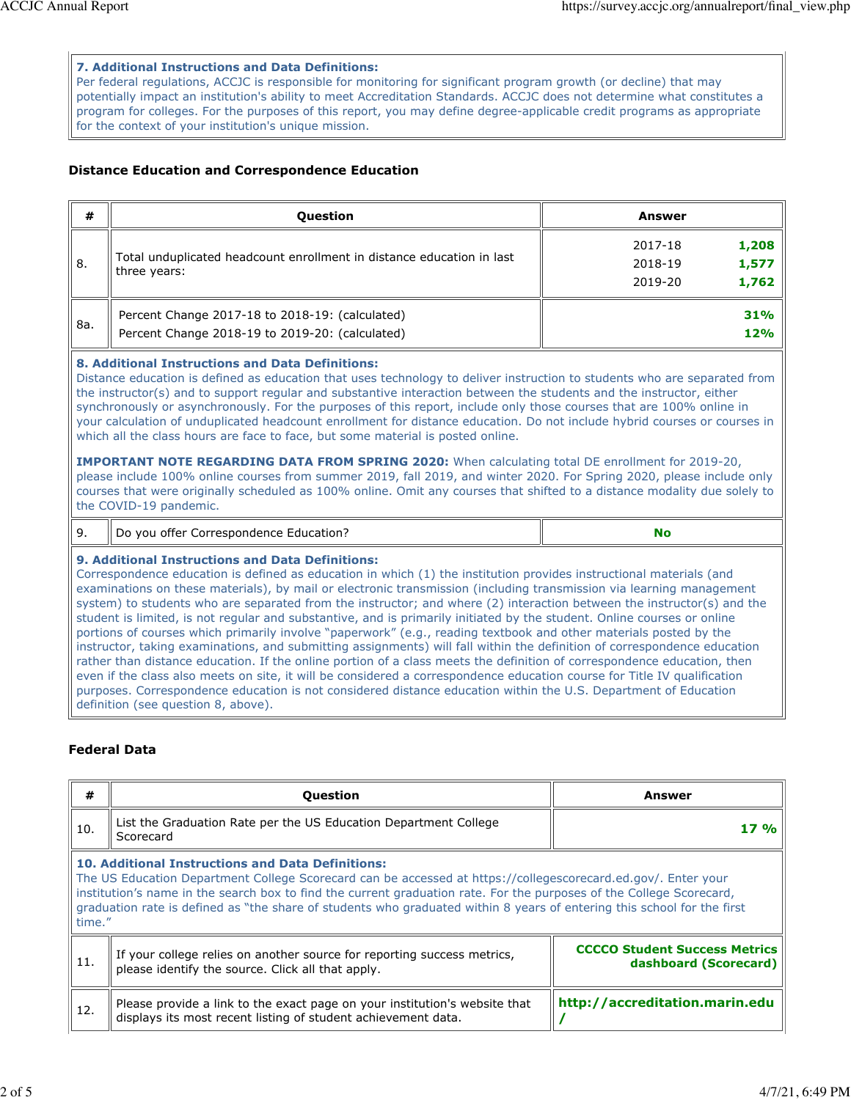#### **7. Additional Instructions and Data Definitions:**

Per federal regulations, ACCJC is responsible for monitoring for significant program growth (or decline) that may potentially impact an institution's ability to meet Accreditation Standards. ACCJC does not determine what constitutes a program for colleges. For the purposes of this report, you may define degree-applicable credit programs as appropriate for the context of your institution's unique mission.

### **Distance Education and Correspondence Education**

| #   | <b>Question</b>                                                                                                                                                                                                                                                                                                                                                                                                                                                                                                                                                                                                                                                                                                                                                                                                                                                                                                                                                                                                                                                                                                                                                                                                        | <b>Answer</b>                                            |  |  |  |  |  |
|-----|------------------------------------------------------------------------------------------------------------------------------------------------------------------------------------------------------------------------------------------------------------------------------------------------------------------------------------------------------------------------------------------------------------------------------------------------------------------------------------------------------------------------------------------------------------------------------------------------------------------------------------------------------------------------------------------------------------------------------------------------------------------------------------------------------------------------------------------------------------------------------------------------------------------------------------------------------------------------------------------------------------------------------------------------------------------------------------------------------------------------------------------------------------------------------------------------------------------------|----------------------------------------------------------|--|--|--|--|--|
| 8.  | Total unduplicated headcount enrollment in distance education in last<br>three years:                                                                                                                                                                                                                                                                                                                                                                                                                                                                                                                                                                                                                                                                                                                                                                                                                                                                                                                                                                                                                                                                                                                                  | 1,208<br>2017-18<br>1,577<br>2018-19<br>2019-20<br>1,762 |  |  |  |  |  |
| 8a. | Percent Change 2017-18 to 2018-19: (calculated)<br>Percent Change 2018-19 to 2019-20: (calculated)                                                                                                                                                                                                                                                                                                                                                                                                                                                                                                                                                                                                                                                                                                                                                                                                                                                                                                                                                                                                                                                                                                                     | 31%<br>12%                                               |  |  |  |  |  |
|     | 8. Additional Instructions and Data Definitions:<br>Distance education is defined as education that uses technology to deliver instruction to students who are separated from<br>the instructor(s) and to support regular and substantive interaction between the students and the instructor, either<br>synchronously or asynchronously. For the purposes of this report, include only those courses that are 100% online in<br>your calculation of unduplicated headcount enrollment for distance education. Do not include hybrid courses or courses in<br>which all the class hours are face to face, but some material is posted online.<br><b>IMPORTANT NOTE REGARDING DATA FROM SPRING 2020:</b> When calculating total DE enrollment for 2019-20,<br>please include 100% online courses from summer 2019, fall 2019, and winter 2020. For Spring 2020, please include only<br>courses that were originally scheduled as 100% online. Omit any courses that shifted to a distance modality due solely to<br>the COVID-19 pandemic.                                                                                                                                                                              |                                                          |  |  |  |  |  |
| 9.  | Do you offer Correspondence Education?                                                                                                                                                                                                                                                                                                                                                                                                                                                                                                                                                                                                                                                                                                                                                                                                                                                                                                                                                                                                                                                                                                                                                                                 | <b>No</b>                                                |  |  |  |  |  |
|     | 9. Additional Instructions and Data Definitions:<br>Correspondence education is defined as education in which (1) the institution provides instructional materials (and<br>examinations on these materials), by mail or electronic transmission (including transmission via learning management<br>system) to students who are separated from the instructor; and where (2) interaction between the instructor(s) and the<br>student is limited, is not regular and substantive, and is primarily initiated by the student. Online courses or online<br>portions of courses which primarily involve "paperwork" (e.g., reading textbook and other materials posted by the<br>instructor, taking examinations, and submitting assignments) will fall within the definition of correspondence education<br>rather than distance education. If the online portion of a class meets the definition of correspondence education, then<br>even if the class also meets on site, it will be considered a correspondence education course for Title IV qualification<br>purposes. Correspondence education is not considered distance education within the U.S. Department of Education<br>definition (see question 8, above). |                                                          |  |  |  |  |  |

# **Federal Data**

| #      | <b>Question</b>                                                                                                                                                                                                                                                                                                                                                                                                              | Answer                                                        |
|--------|------------------------------------------------------------------------------------------------------------------------------------------------------------------------------------------------------------------------------------------------------------------------------------------------------------------------------------------------------------------------------------------------------------------------------|---------------------------------------------------------------|
| 10.    | List the Graduation Rate per the US Education Department College<br>Scorecard                                                                                                                                                                                                                                                                                                                                                | 17 %                                                          |
| time." | <b>10. Additional Instructions and Data Definitions:</b><br>The US Education Department College Scorecard can be accessed at https://collegescorecard.ed.gov/. Enter your<br>institution's name in the search box to find the current graduation rate. For the purposes of the College Scorecard,<br>graduation rate is defined as "the share of students who graduated within 8 years of entering this school for the first |                                                               |
| 11.    | If your college relies on another source for reporting success metrics,<br>please identify the source. Click all that apply.                                                                                                                                                                                                                                                                                                 | <b>CCCCO Student Success Metrics</b><br>dashboard (Scorecard) |
| 12.    | Please provide a link to the exact page on your institution's website that<br>displays its most recent listing of student achievement data.                                                                                                                                                                                                                                                                                  | http://accreditation.marin.edu                                |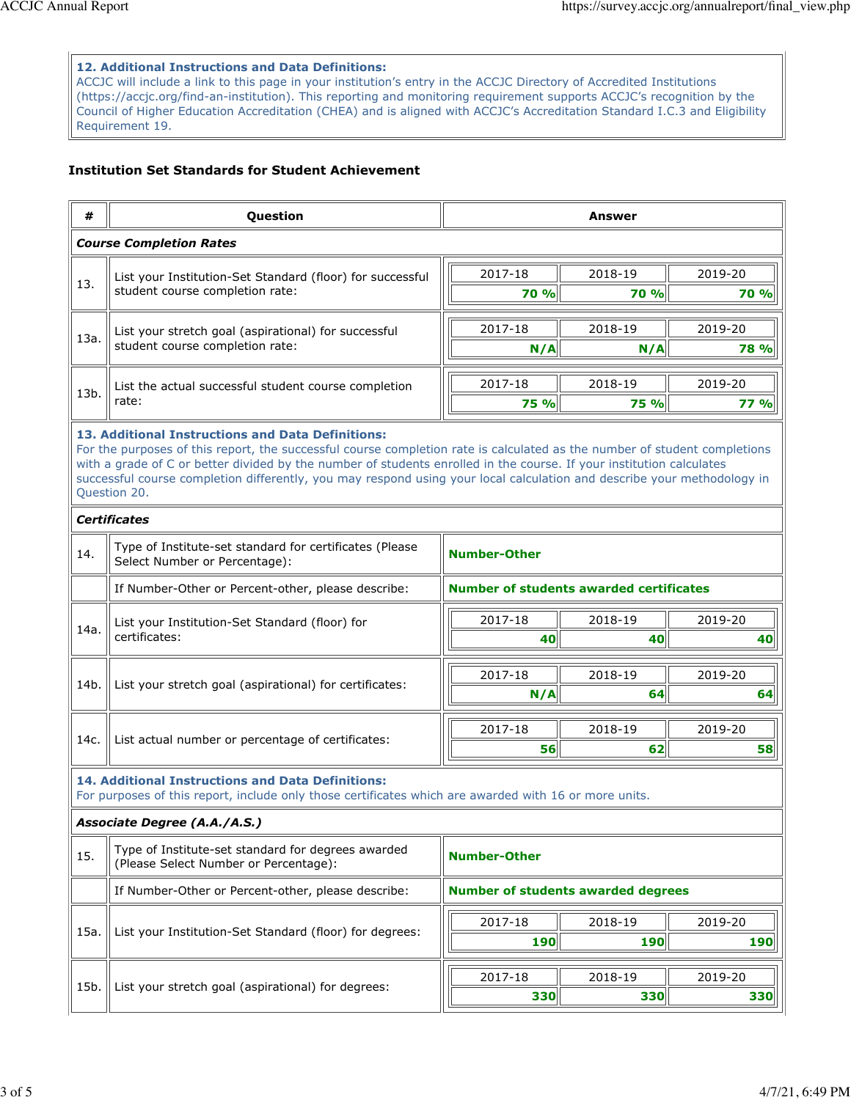#### **12. Additional Instructions and Data Definitions:**

ACCJC will include a link to this page in your institution's entry in the ACCJC Directory of Accredited Institutions (https://accjc.org/find-an-institution). This reporting and monitoring requirement supports ACCJC's recognition by the Council of Higher Education Accreditation (CHEA) and is aligned with ACCJC's Accreditation Standard I.C.3 and Eligibility Requirement 19.

### **Institution Set Standards for Student Achievement**

| #    | Question                                                                                                                                                                                                                                                                                                                                                                                                                                                                 | <b>Answer</b>       |                                                |             |  |  |  |  |
|------|--------------------------------------------------------------------------------------------------------------------------------------------------------------------------------------------------------------------------------------------------------------------------------------------------------------------------------------------------------------------------------------------------------------------------------------------------------------------------|---------------------|------------------------------------------------|-------------|--|--|--|--|
|      | <b>Course Completion Rates</b>                                                                                                                                                                                                                                                                                                                                                                                                                                           |                     |                                                |             |  |  |  |  |
| 13.  | List your Institution-Set Standard (floor) for successful                                                                                                                                                                                                                                                                                                                                                                                                                | 2017-18             | 2018-19                                        | 2019-20     |  |  |  |  |
|      | student course completion rate:                                                                                                                                                                                                                                                                                                                                                                                                                                          | <b>70 %</b>         | 70 %                                           | <b>70 %</b> |  |  |  |  |
|      | List your stretch goal (aspirational) for successful                                                                                                                                                                                                                                                                                                                                                                                                                     | 2017-18             | 2018-19                                        | 2019-20     |  |  |  |  |
| 13a. | student course completion rate:                                                                                                                                                                                                                                                                                                                                                                                                                                          | N/A                 | N/A                                            | <b>78 %</b> |  |  |  |  |
|      | List the actual successful student course completion                                                                                                                                                                                                                                                                                                                                                                                                                     | 2017-18             | 2018-19                                        | 2019-20     |  |  |  |  |
| 13b. | rate:                                                                                                                                                                                                                                                                                                                                                                                                                                                                    | <b>75 %</b>         | 75 %                                           | <b>77 %</b> |  |  |  |  |
|      | 13. Additional Instructions and Data Definitions:<br>For the purposes of this report, the successful course completion rate is calculated as the number of student completions<br>with a grade of C or better divided by the number of students enrolled in the course. If your institution calculates<br>successful course completion differently, you may respond using your local calculation and describe your methodology in<br>Question 20.<br><b>Certificates</b> |                     |                                                |             |  |  |  |  |
|      |                                                                                                                                                                                                                                                                                                                                                                                                                                                                          |                     |                                                |             |  |  |  |  |
| 14.  | Type of Institute-set standard for certificates (Please<br>Select Number or Percentage):                                                                                                                                                                                                                                                                                                                                                                                 | <b>Number-Other</b> |                                                |             |  |  |  |  |
|      | If Number-Other or Percent-other, please describe:                                                                                                                                                                                                                                                                                                                                                                                                                       |                     | <b>Number of students awarded certificates</b> |             |  |  |  |  |
| 14a. | List your Institution-Set Standard (floor) for<br>certificates:                                                                                                                                                                                                                                                                                                                                                                                                          | 2017-18             | 2018-19                                        | 2019-20     |  |  |  |  |
|      |                                                                                                                                                                                                                                                                                                                                                                                                                                                                          | 40<br>40<br>40      |                                                |             |  |  |  |  |
| 14b. | List your stretch goal (aspirational) for certificates:                                                                                                                                                                                                                                                                                                                                                                                                                  | 2017-18             | 2018-19                                        | 2019-20     |  |  |  |  |
|      |                                                                                                                                                                                                                                                                                                                                                                                                                                                                          | N/A                 | 64                                             | 64          |  |  |  |  |
| 14c. | List actual number or percentage of certificates:                                                                                                                                                                                                                                                                                                                                                                                                                        | 2017-18             | 2018-19                                        | 2019-20     |  |  |  |  |
|      |                                                                                                                                                                                                                                                                                                                                                                                                                                                                          | 56                  | 62                                             | 58          |  |  |  |  |
|      | <b>14. Additional Instructions and Data Definitions:</b><br>For purposes of this report, include only those certificates which are awarded with 16 or more units.                                                                                                                                                                                                                                                                                                        |                     |                                                |             |  |  |  |  |
|      | Associate Degree (A.A./A.S.)                                                                                                                                                                                                                                                                                                                                                                                                                                             |                     |                                                |             |  |  |  |  |
| 15.  | Type of Institute-set standard for degrees awarded<br>(Please Select Number or Percentage):                                                                                                                                                                                                                                                                                                                                                                              | <b>Number-Other</b> |                                                |             |  |  |  |  |
|      | If Number-Other or Percent-other, please describe:                                                                                                                                                                                                                                                                                                                                                                                                                       |                     | <b>Number of students awarded degrees</b>      |             |  |  |  |  |
| 15a. | List your Institution-Set Standard (floor) for degrees:                                                                                                                                                                                                                                                                                                                                                                                                                  | 2017-18             | 2018-19                                        | 2019-20     |  |  |  |  |
|      |                                                                                                                                                                                                                                                                                                                                                                                                                                                                          | 190<br>190          |                                                |             |  |  |  |  |
| 15b. | List your stretch goal (aspirational) for degrees:                                                                                                                                                                                                                                                                                                                                                                                                                       | 2017-18             | 2018-19                                        | 2019-20     |  |  |  |  |
|      |                                                                                                                                                                                                                                                                                                                                                                                                                                                                          | 330                 | 330                                            | 330         |  |  |  |  |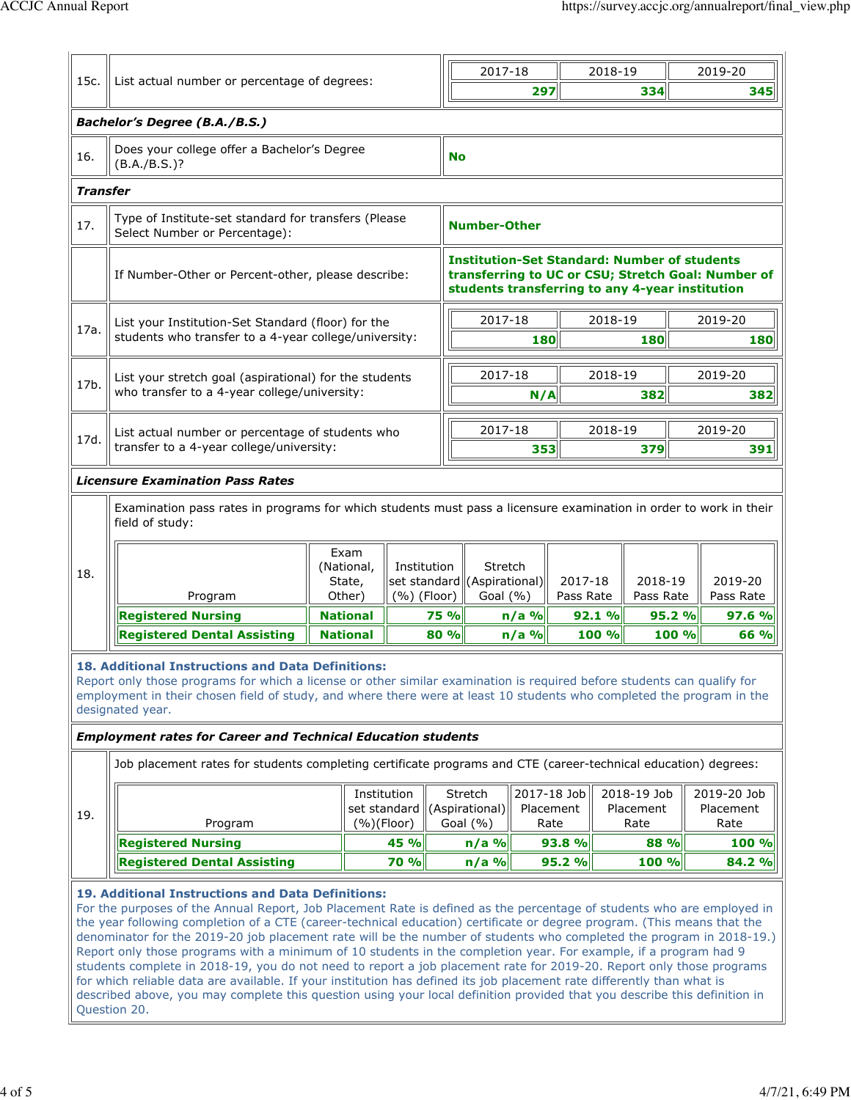|          | 15c.<br>List actual number or percentage of degrees:<br>Bachelor's Degree (B.A./B.S.)                                                                                                                                                                                                                                                                                                                                                                                    |                                |                              |                                                         |                                                                                                                                                              | 2018-19                                      |                                  |  | 2019-20                          |  |
|----------|--------------------------------------------------------------------------------------------------------------------------------------------------------------------------------------------------------------------------------------------------------------------------------------------------------------------------------------------------------------------------------------------------------------------------------------------------------------------------|--------------------------------|------------------------------|---------------------------------------------------------|--------------------------------------------------------------------------------------------------------------------------------------------------------------|----------------------------------------------|----------------------------------|--|----------------------------------|--|
|          |                                                                                                                                                                                                                                                                                                                                                                                                                                                                          |                                |                              |                                                         | 297                                                                                                                                                          |                                              | 334                              |  | 345                              |  |
|          |                                                                                                                                                                                                                                                                                                                                                                                                                                                                          |                                |                              |                                                         |                                                                                                                                                              |                                              |                                  |  |                                  |  |
| 16.      | Does your college offer a Bachelor's Degree<br>$(B.A./B.S.)$ ?                                                                                                                                                                                                                                                                                                                                                                                                           |                                |                              | No                                                      |                                                                                                                                                              |                                              |                                  |  |                                  |  |
| Transfer |                                                                                                                                                                                                                                                                                                                                                                                                                                                                          |                                |                              |                                                         |                                                                                                                                                              |                                              |                                  |  |                                  |  |
| 17.      | Type of Institute-set standard for transfers (Please<br>Select Number or Percentage):                                                                                                                                                                                                                                                                                                                                                                                    |                                |                              | <b>Number-Other</b>                                     |                                                                                                                                                              |                                              |                                  |  |                                  |  |
|          | If Number-Other or Percent-other, please describe:                                                                                                                                                                                                                                                                                                                                                                                                                       |                                |                              |                                                         | <b>Institution-Set Standard: Number of students</b><br>transferring to UC or CSU; Stretch Goal: Number of<br>students transferring to any 4-year institution |                                              |                                  |  |                                  |  |
|          | List your Institution-Set Standard (floor) for the                                                                                                                                                                                                                                                                                                                                                                                                                       |                                |                              | 2017-18                                                 |                                                                                                                                                              |                                              | 2018-19                          |  | 2019-20                          |  |
| 17a.     | students who transfer to a 4-year college/university:                                                                                                                                                                                                                                                                                                                                                                                                                    |                                |                              |                                                         | <b>180</b>                                                                                                                                                   |                                              | 180                              |  | 180                              |  |
|          |                                                                                                                                                                                                                                                                                                                                                                                                                                                                          |                                |                              | 2017-18                                                 |                                                                                                                                                              |                                              | 2018-19                          |  | 2019-20                          |  |
| 17b.     | List your stretch goal (aspirational) for the students<br>who transfer to a 4-year college/university:                                                                                                                                                                                                                                                                                                                                                                   |                                |                              |                                                         | N/A                                                                                                                                                          |                                              | 382                              |  | 382                              |  |
|          |                                                                                                                                                                                                                                                                                                                                                                                                                                                                          |                                |                              |                                                         |                                                                                                                                                              |                                              |                                  |  |                                  |  |
| 17d.     | List actual number or percentage of students who<br>transfer to a 4-year college/university:                                                                                                                                                                                                                                                                                                                                                                             |                                |                              | 2017-18                                                 | 353                                                                                                                                                          |                                              | 2018-19<br>379                   |  | 2019-20<br>391                   |  |
|          |                                                                                                                                                                                                                                                                                                                                                                                                                                                                          |                                |                              |                                                         |                                                                                                                                                              |                                              |                                  |  |                                  |  |
| 18.      | Program                                                                                                                                                                                                                                                                                                                                                                                                                                                                  | (National,<br>State,<br>Other) | Institution<br>$(%)$ (Floor) | Stretch<br>set standard (Aspirational)<br>Goal $(\% )$  |                                                                                                                                                              | 2018-19<br>2017-18<br>Pass Rate<br>Pass Rate |                                  |  | 2019-20<br>Pass Rate             |  |
|          | <b>Registered Nursing</b>                                                                                                                                                                                                                                                                                                                                                                                                                                                | <b>National</b>                |                              |                                                         |                                                                                                                                                              |                                              |                                  |  |                                  |  |
|          |                                                                                                                                                                                                                                                                                                                                                                                                                                                                          |                                |                              | 75 %                                                    | $n/a$ %                                                                                                                                                      | 92.1%                                        | 95.2%                            |  | 97.6%                            |  |
|          | <b>Registered Dental Assisting</b><br>18. Additional Instructions and Data Definitions:                                                                                                                                                                                                                                                                                                                                                                                  | <b>National</b>                |                              | 80 %                                                    | $n/a$ %                                                                                                                                                      | 100 %                                        | 100 %                            |  | 66 %                             |  |
| 19.      | Report only those programs for which a license or other similar examination is required before students can qualify for<br>employment in their chosen field of study, and where there were at least 10 students who completed the program in the<br>designated year.<br><b>Employment rates for Career and Technical Education students</b><br>Job placement rates for students completing certificate programs and CTE (career-technical education) degrees:<br>Program |                                | Institution<br>$(%)$ (Floor) | Stretch<br>set standard ((Aspirational)<br>Goal $(\% )$ | 2017-18 Job<br>Placement<br>Rate                                                                                                                             |                                              | 2018-19 Job<br>Placement<br>Rate |  | 2019-20 Job<br>Placement<br>Rate |  |
|          | <b>Registered Nursing</b><br><b>Registered Dental Assisting</b>                                                                                                                                                                                                                                                                                                                                                                                                          |                                | 45 %<br>70 %                 | $n/a$ %<br>$n/a$ %                                      |                                                                                                                                                              | 93.8 %<br>95.2 %                             | 88 %<br>100 %                    |  | <b>100 %</b><br>84.2 %           |  |